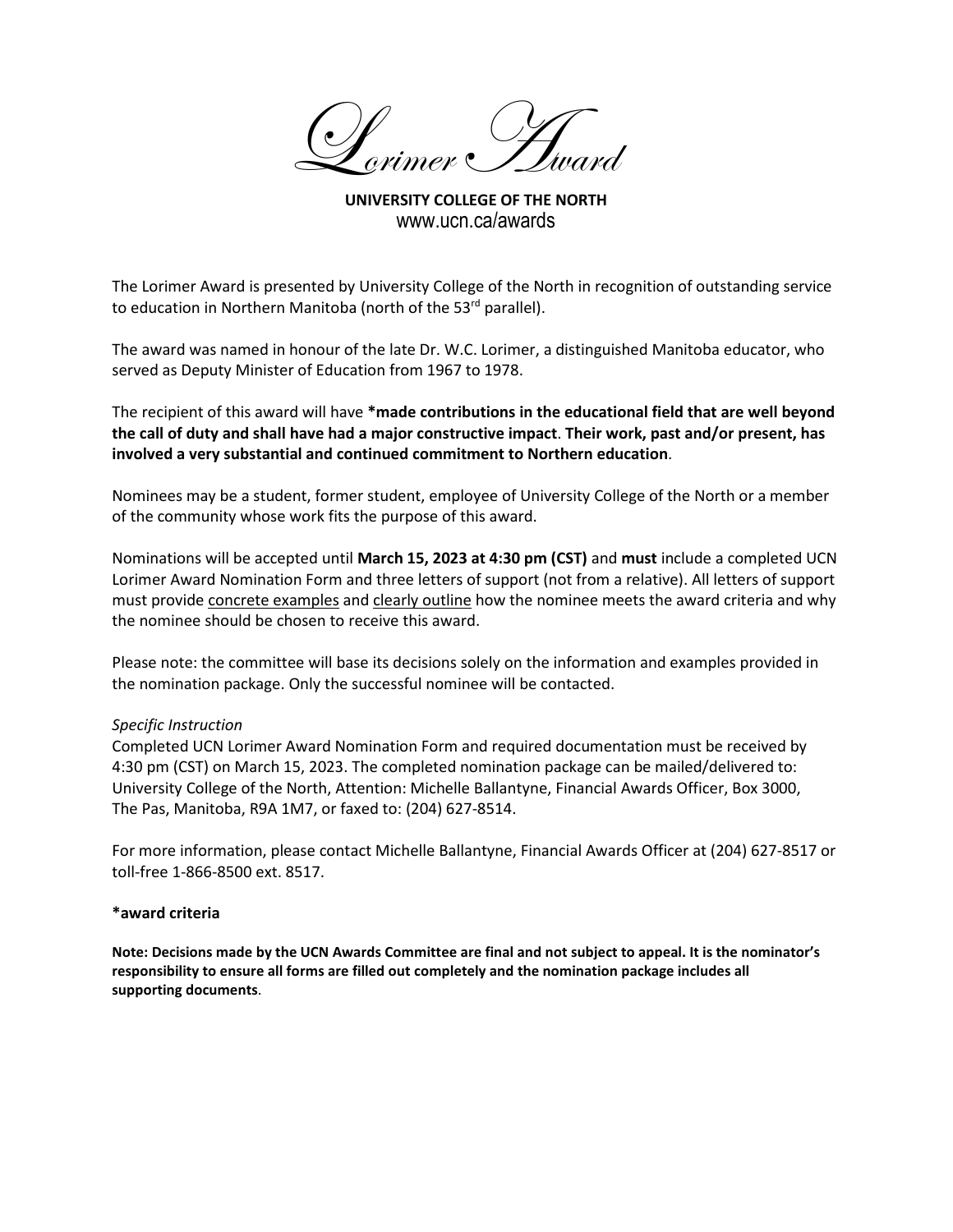Dorimer Huard

**UNIVERSITY COLLEGE OF THE NORTH** www.ucn.ca/awards

The Lorimer Award is presented by University College of the North in recognition of outstanding service to education in Northern Manitoba (north of the 53<sup>rd</sup> parallel).

The award was named in honour of the late Dr. W.C. Lorimer, a distinguished Manitoba educator, who served as Deputy Minister of Education from 1967 to 1978.

The recipient of this award will have **\*made contributions in the educational field that are well beyond the call of duty and shall have had a major constructive impact**. **Their work, past and/or present, has involved a very substantial and continued commitment to Northern education**.

Nominees may be a student, former student, employee of University College of the North or a member of the community whose work fits the purpose of this award.

Nominations will be accepted until **March 15, 2023 at 4:30 pm (CST)** and **must** include a completed UCN Lorimer Award Nomination Form and three letters of support (not from a relative). All letters of support must provide concrete examples and clearly outline how the nominee meets the award criteria and why the nominee should be chosen to receive this award.

Please note: the committee will base its decisions solely on the information and examples provided in the nomination package. Only the successful nominee will be contacted.

## *Specific Instruction*

Completed UCN Lorimer Award Nomination Form and required documentation must be received by 4:30 pm (CST) on March 15, 2023. The completed nomination package can be mailed/delivered to: University College of the North, Attention: Michelle Ballantyne, Financial Awards Officer, Box 3000, The Pas, Manitoba, R9A 1M7, or faxed to: (204) 627-8514.

For more information, please contact Michelle Ballantyne, Financial Awards Officer at (204) 627-8517 or toll-free 1-866-8500 ext. 8517.

### **\*award criteria**

**Note: Decisions made by the UCN Awards Committee are final and not subject to appeal. It is the nominator's responsibility to ensure all forms are filled out completely and the nomination package includes all supporting documents**.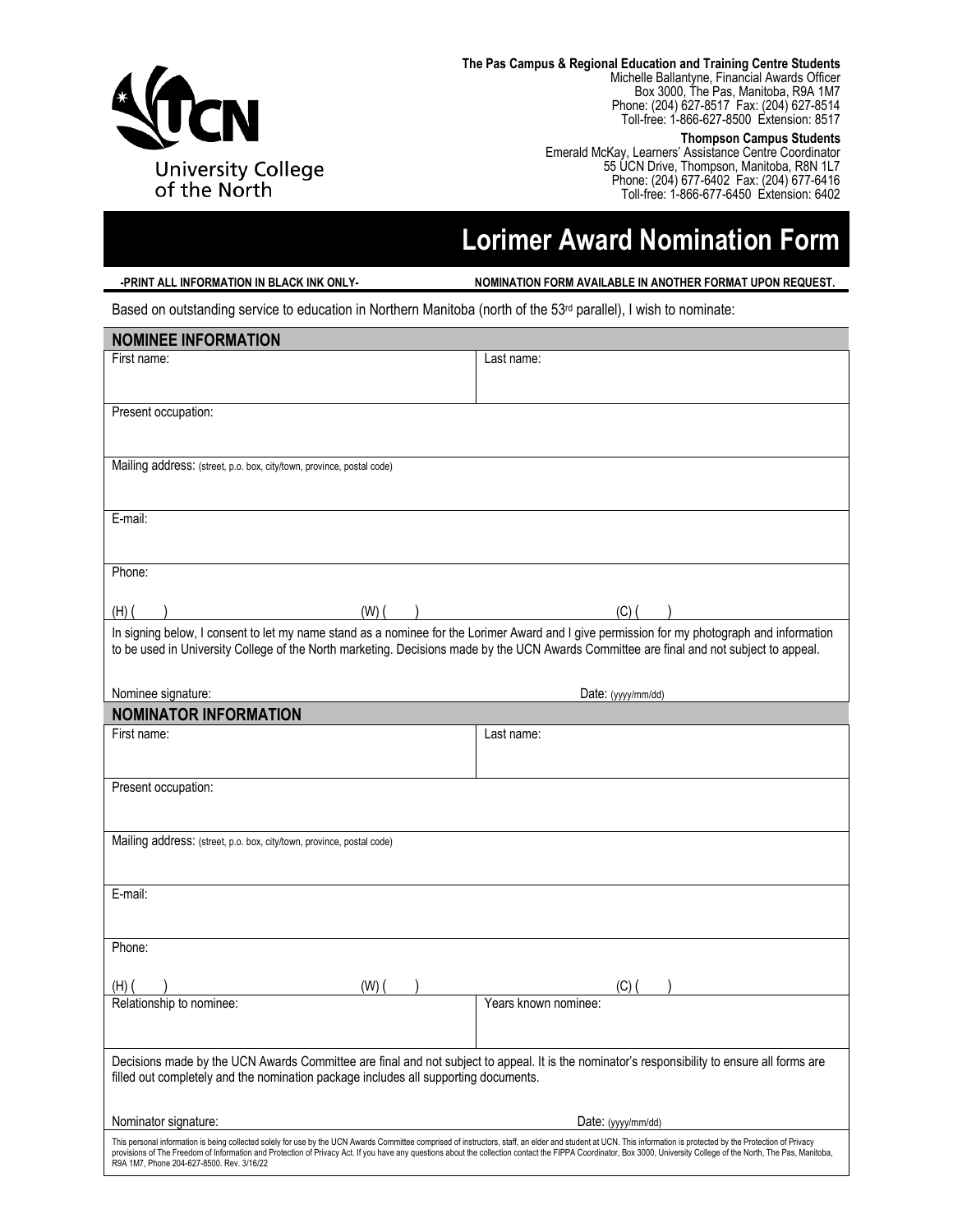

**The Pas Campus & Regional Education and Training Centre Students**

Michelle Ballantyne, Financial Awards Officer Box 3000, The Pas, Manitoba, R9A 1M7 Phone: (204) 627-8517 Fax: (204) 627-8514 Toll-free: 1-866-627-8500 Extension: 8517

#### **Thompson Campus Students**

Emerald McKay, Learners' Assistance Centre Coordinator 55 UCN Drive, Thompson, Manitoba, R8N 1L7 Phone: (204) 677-6402 Fax: (204) 677-6416 Toll-free: 1-866-677-6450 Extension: 6402

# **Lorimer Award Nomination Form**

**-PRINT ALL INFORMATION IN BLACK INK ONLY-** NOMINATION FORM AVAILABLE IN ANOTHER FORMAT UPON REQUEST.

Based on outstanding service to education in Northern Manitoba (north of the 53<sup>rd</sup> parallel), I wish to nominate:

| <b>NOMINEE INFORMATION</b>                                                                                                                                                                                                                                                                                                                                                                                                                                                           |                      |  |
|--------------------------------------------------------------------------------------------------------------------------------------------------------------------------------------------------------------------------------------------------------------------------------------------------------------------------------------------------------------------------------------------------------------------------------------------------------------------------------------|----------------------|--|
| First name:                                                                                                                                                                                                                                                                                                                                                                                                                                                                          | Last name:           |  |
|                                                                                                                                                                                                                                                                                                                                                                                                                                                                                      |                      |  |
| Present occupation:                                                                                                                                                                                                                                                                                                                                                                                                                                                                  |                      |  |
|                                                                                                                                                                                                                                                                                                                                                                                                                                                                                      |                      |  |
| Mailing address: (street, p.o. box, city/town, province, postal code)                                                                                                                                                                                                                                                                                                                                                                                                                |                      |  |
|                                                                                                                                                                                                                                                                                                                                                                                                                                                                                      |                      |  |
| E-mail:                                                                                                                                                                                                                                                                                                                                                                                                                                                                              |                      |  |
|                                                                                                                                                                                                                                                                                                                                                                                                                                                                                      |                      |  |
| Phone:                                                                                                                                                                                                                                                                                                                                                                                                                                                                               |                      |  |
| (W)<br>(H)                                                                                                                                                                                                                                                                                                                                                                                                                                                                           | (C)                  |  |
| In signing below, I consent to let my name stand as a nominee for the Lorimer Award and I give permission for my photograph and information                                                                                                                                                                                                                                                                                                                                          |                      |  |
| to be used in University College of the North marketing. Decisions made by the UCN Awards Committee are final and not subject to appeal.                                                                                                                                                                                                                                                                                                                                             |                      |  |
|                                                                                                                                                                                                                                                                                                                                                                                                                                                                                      |                      |  |
| Nominee signature:                                                                                                                                                                                                                                                                                                                                                                                                                                                                   | Date: (yyyy/mm/dd)   |  |
| <b>NOMINATOR INFORMATION</b>                                                                                                                                                                                                                                                                                                                                                                                                                                                         |                      |  |
| First name:                                                                                                                                                                                                                                                                                                                                                                                                                                                                          | Last name:           |  |
|                                                                                                                                                                                                                                                                                                                                                                                                                                                                                      |                      |  |
| Present occupation:                                                                                                                                                                                                                                                                                                                                                                                                                                                                  |                      |  |
|                                                                                                                                                                                                                                                                                                                                                                                                                                                                                      |                      |  |
| Mailing address: (street, p.o. box, city/town, province, postal code)                                                                                                                                                                                                                                                                                                                                                                                                                |                      |  |
|                                                                                                                                                                                                                                                                                                                                                                                                                                                                                      |                      |  |
| E-mail:                                                                                                                                                                                                                                                                                                                                                                                                                                                                              |                      |  |
|                                                                                                                                                                                                                                                                                                                                                                                                                                                                                      |                      |  |
|                                                                                                                                                                                                                                                                                                                                                                                                                                                                                      |                      |  |
| Phone:                                                                                                                                                                                                                                                                                                                                                                                                                                                                               |                      |  |
| (W)<br>(H)                                                                                                                                                                                                                                                                                                                                                                                                                                                                           | (C)                  |  |
| Relationship to nominee:                                                                                                                                                                                                                                                                                                                                                                                                                                                             | Years known nominee: |  |
|                                                                                                                                                                                                                                                                                                                                                                                                                                                                                      |                      |  |
| Decisions made by the UCN Awards Committee are final and not subject to appeal. It is the nominator's responsibility to ensure all forms are                                                                                                                                                                                                                                                                                                                                         |                      |  |
| filled out completely and the nomination package includes all supporting documents.                                                                                                                                                                                                                                                                                                                                                                                                  |                      |  |
|                                                                                                                                                                                                                                                                                                                                                                                                                                                                                      |                      |  |
| Nominator signature:                                                                                                                                                                                                                                                                                                                                                                                                                                                                 | Date: (yyyy/mm/dd)   |  |
| This personal information is being collected solely for use by the UCN Awards Committee comprised of instructors, staff, an elder and student at UCN. This information is protected by the Protection of Privacy<br>provisions of The Freedom of Information and Protection of Privacy Act. If you have any questions about the collection contact the FIPPA Coordinator, Box 3000, University College of the North, The Pas, Manitoba,<br>R9A 1M7, Phone 204-627-8500. Rev. 3/16/22 |                      |  |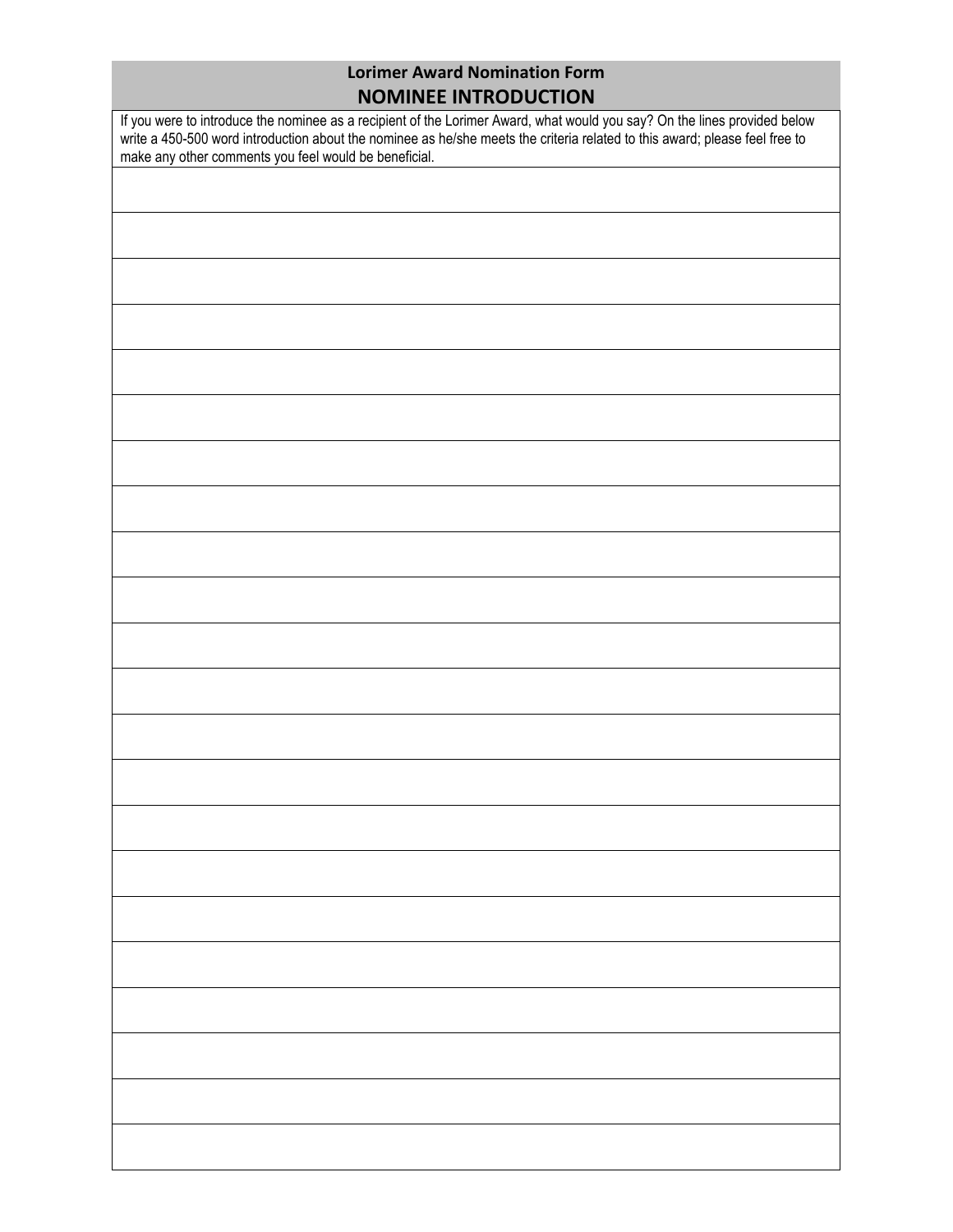# **Lorimer Award Nomination Form NOMINEE INTRODUCTION**

If you were to introduce the nominee as a recipient of the Lorimer Award, what would you say? On the lines provided below write a 450-500 word introduction about the nominee as he/she meets the criteria related to this award; please feel free to make any other comments you feel would be beneficial.

| make any other comments you feel would be beneficial. |  |
|-------------------------------------------------------|--|
|                                                       |  |
|                                                       |  |
|                                                       |  |
|                                                       |  |
|                                                       |  |
|                                                       |  |
|                                                       |  |
|                                                       |  |
|                                                       |  |
|                                                       |  |
|                                                       |  |
|                                                       |  |
|                                                       |  |
|                                                       |  |
|                                                       |  |
|                                                       |  |
|                                                       |  |
|                                                       |  |
|                                                       |  |
|                                                       |  |
|                                                       |  |
|                                                       |  |